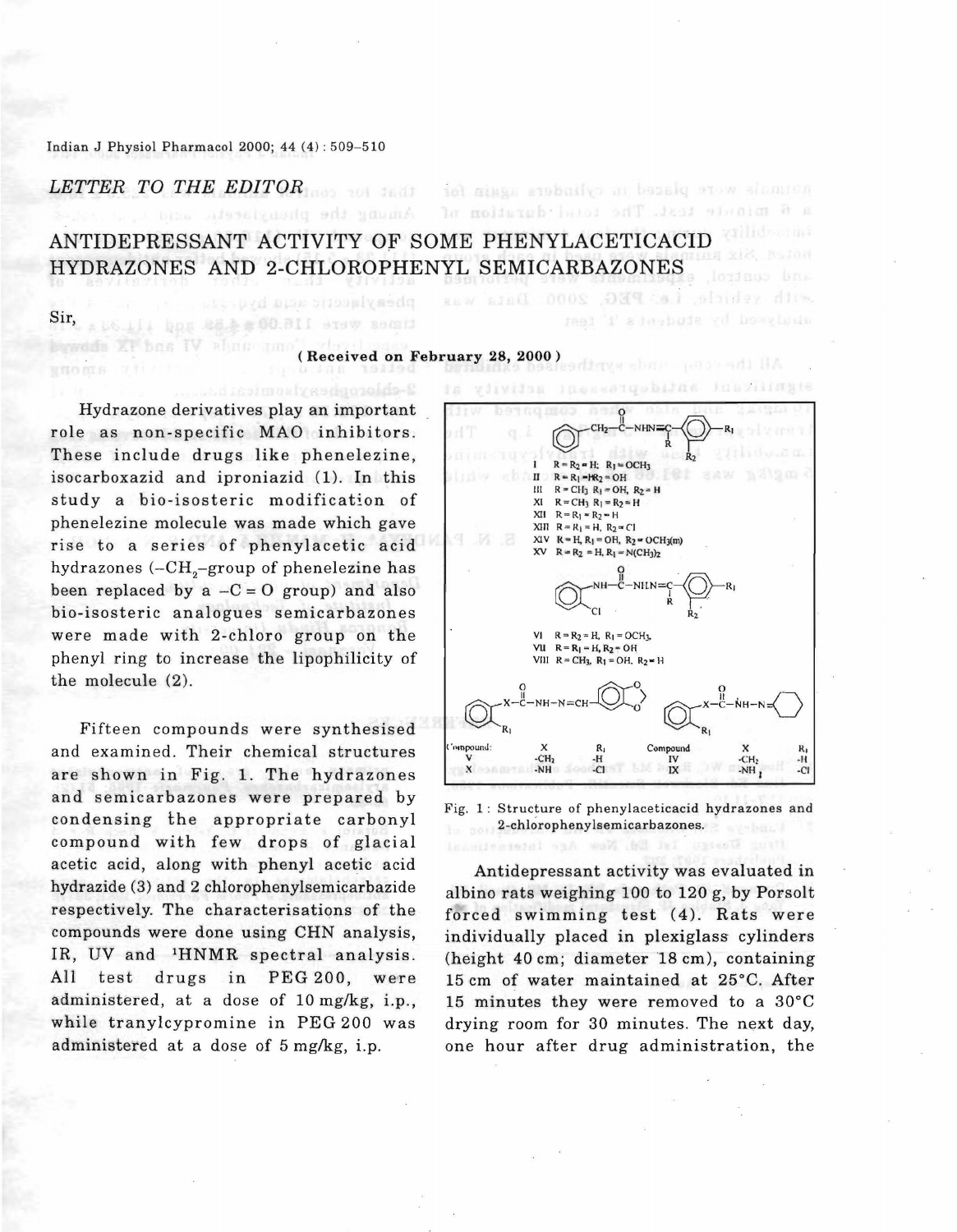## *LETTER TO THE EDITOR*

bawels XP bas IV about

# ANTIDEPRESSANT ACTIVITY OF SOME PHENYLACETICACID HYDRAZONES AND 2-CHLOROPHENYL SEMICARBAZONES

Amung the phenylacetic

Sir,

#### (Received on February 28, 2000 )

Hydrazone derivatives play an important role as non-specific MAO inhibitors. These include drugs like phenelezine, isocarboxazid and iproniazid (1). In this study a bio-isosteric modification of phenelezine molecule was made which gave rise to a series of phenylacetic acid hydrazones (– $\rm CH_{2}$ –group of phenelezine has been replaced by a  $-C = O$  group) and also bio-isosteric analogues semicarbazones were made with 2-chloro group on the phenyl ring to increase the lipophilicity of the molecule (2).

times were 116.00m 4月4 upd ilistin

Fifteen compounds were synthesised and examined. Their chemical structures are shown in Fig. 1. The hydrazones and semicarbazones were prepared by condensing the appropriate carbonyl compound with few drops of glacial acetic acid, along with phenyl acetic acid hydrazide (3) and 2 chlorophenylsemicarbazide respectively. The characterisations of the compounds were done using CHN analysis, IR, UV and <sup>1</sup>HNMR spectral analysis. All test drugs in PEG 200, were administered, at a dose of 10 mg/kg, i.p., while tranylcypromine in PEG 200 was administered at a dose of 5 mg/kg, i.p.



tetransporte placed in cylinders ugusafor

a 6 minute test. The total duration af

with vehicle, i.e. PEG, 2000. diulysed by student's 't' test

Fig, 1: Structure of phenylaceticacid hydrazones and 2-chlorophenylsemicarbazones.

Antidepressant activity was evaluated in albino rats weighing 100 to 120 g, by Porsolt forced swimming test  $(4)$ . Rats were individually placed in plexiglass cylinders (height 40 cm; diameter 18 cm), containing 15 cm of water maintained at 25°C. After 15 minutes they were removed to a 30°C drying room for 30 minutes. The next day, one hour after drug administration, the